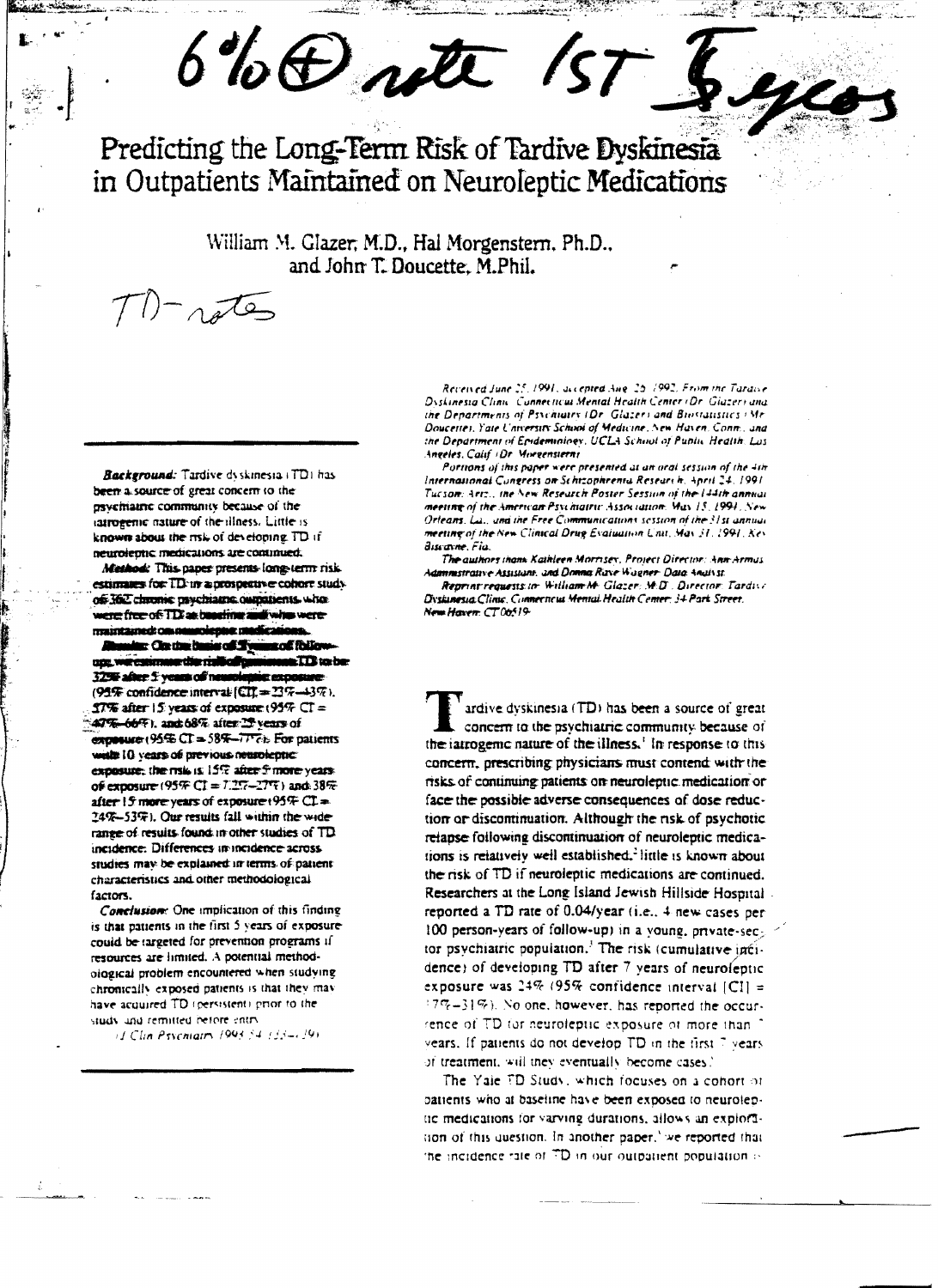$6\%$  O rote 157

Predicting the Long-Term Risk of Tardive Dyskinesia in Outpatients Maintained on Neuroleptic Medications

> William M. Glazer, M.D., Hal Morgenstern, Ph.D., and John T. Doucette, M.Phil.

Background: Tardive dyskinesia (TD) has been a source of great concern to the psychiatric community because of the iatrogenic nature of the illness. Little is known about the risk of developing. TD if neurolephe medications are continued.

 $22$ 

Method: This paper presents long-term risk estimates for TD in a prospective cohort study of 362 chrome psychiatric outpatients. who were free of TDI as baseling and who were maintained: cas negrolence ma

ar On the basis of the us of fhilm up; we estimate the risticality  $\square$  TD to be 3250 adver 5 years of net **Exconure** (95% confidence interval  $[CI] = 23\% - 43\%$ ).  $27\%$  after 15 years of exposure (95% CT = 47%-66%), and 68% after 25 years of exposure (95%  $CT = 58$ %- $TT$ ? Eor patients wells 10 years of previous neuroleptic: exposure; the risk is 15% after 5 more years. of exposure (95% CI =  $7.27 - 27\%$ ) and 38% after 15 more years of exposure (95% CL= 24%-53%). Our results fall within the widerange of results found in other studies of TD incidence. Differences in incidence across. studies may be explained in terms of patient. characteristics and other methodological factors.

Conclusion: One implication of this finding is that patients in the first 5 years of exposurecould be targeted for prevention programs if resources are limited. A potential methodological problem encountered when studying chronically exposed patients is that they may have acquired TD (persistent) prior to the study and remitted before entry

(J. Clin Psychiatry 1993 54, (33-129)

Received June 25, 1991, accepted Aire, 25, 1992. From the Taraise Dyskinesia Clinic Connecticul Mental Health Center (Dr. Giazer) and the Departments of Psychiatry (Dr. Glazer) and Biostatistics (Mr. Doucettes, Yate University School of Medicine, New Haven, Conn., and the Department of Epidemininey, UCLA School of Public Health, Los Angeles, Calif (Dr. Morgenstern)

Portions of this paper were presented at an oral session of the 4th International Congress on Schizophrenia Research, April 24, 1991. Tueson: Artz., the New Research Poster Session of the 144th annual meeting of the American Psychiatric Association. May 15, 1991. New Orleans, La., and the Free Communications session of the 31st annual meeting of the New Clinical Drug Evaluation Unit, May 31, 1991, Key Busanne, Fia

The authors thank Kathleen Morrisex, Project Director: Ann Armus Administrative Assistant, and Donna Rave Wagner- Data Analyst.

Reprint requests to: William M. Glazer: M.D., Director: Tardive Dyskinesia Clinic. Connecticus Mental Health Center: 34 Park Street. New Haven: CT06519-

ardive dyskinesia (TD) has been a source of great concern to the psychiatric community because of the iatrogenic nature of the illness.<sup>1</sup> In response to this concern, prescribing physicians must contend with the risks of continuing patients on neuroleptic medication or face the possible adverse consequences of dose reduction or discontinuation. Although the risk of psychotic relapse following discontinuation of neuroleptic medications is relatively well established.<sup>2</sup> little is known about the risk of TD if neuroleptic medications are continued. Researchers at the Long Island Jewish Hillside Hospital. reported a TD rate of 0.04/year (i.e., 4 new cases per 100 person-years of follow-up) in a young, private-sector psychiatric population.<sup>3</sup> The risk (cumulative incidence) of developing TD after 7 years of neuroleptic exposure was  $24\%$  (95% confidence interval [CI] =  $17\% - 31\%$ ). No one, however, has reported the occurrence of TD for neuroleptic exposure of more than 1 vears. If patients do not develop TD in the first 7 years. of treatment, will they eventually become cases.'

The Yale FD Study, which focuses on a cohort of patients who at baseline have been exposed to neuroleptic medications for varying durations, allows an exploration of this question. In another paper,' we reported that the incidence rate of TD in our outbatient population is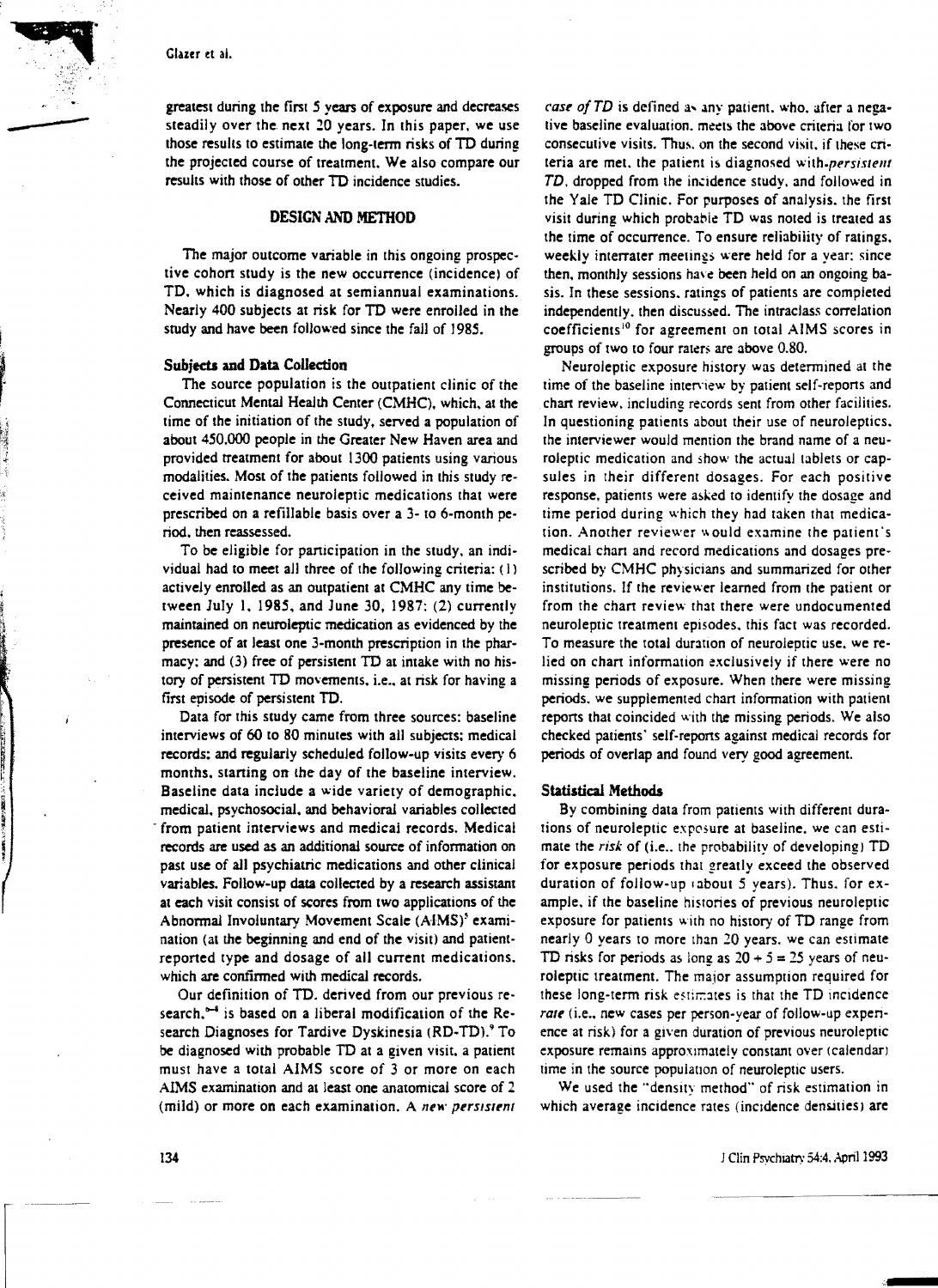greatest during the first 5 years of exposure and decreases greatest during the first 5 years of exposure and decreases<br>steadily over the next 20 years. In this paper, we use<br>those results to estimate the long-term risks of TD during<br>the projected course of treatment. We also compa those results to estimate the long-term risks of TD during the projected course of treatment. We also compare our results with those of other TO incidence studies.

# DESIGN AND METHOD

The major outcome variable in this ongoing prospective cohort study is the new occurrence (incidence) of TO. which is diagnosed at semiannual examinations. Nearly 400 subjects at risk for TO were enrolled in the study and have been followed since the fall of 1985.

#### Subjects and Data Collection

The source population is the outpatient clinic of the Connecticut Mental Health Center (CMHC). which. at the time of the initiation of the study, served a population of about 450.000 people in the Greater New Haven area and provided treatment for about 1300 patients using various modalities. Most of the patients followed in this study received maintenance neuroleptic medications that were prescribed on a refillable basis over a 3- to 6-month period. then reassessed.

To be eligible for participation in the study. an individual had to meet all three of the following criteria: (I) actively enrolled as an outpatient at CMHC any time between July 1. 1985. and June 30, 1987: (2) currently maintained on neuroleptic medication as evidenced by the presence of at least one 3-month prescription in the pharmacy: and (3) free of persistent TO at intake with no history of persistent TD movements, i.e., at risk for having a first episode of persistent TO.

Data for Ihis study came from three sources: baseline interviews of 60 to 80 minutes with all SUbjects: medical records: and regularly scheduled follow-up visits every 6 months, starting on the day of the baseline interview. Baseline data include a wide variety of demographic. medical. psychosocial, and behavioral variables collected from patient interviews and medical records. Medical records are used as an additional source of information on past use of all psychiatric medications and other clinical variables. Follow-up data collected by a research assistant at each visit consist of scores from two applications of the Abnormal Involuntary Movement Scale (AIMS)<sup>3</sup> examination (at the beginning and end of the visit) and patientreported type and dosage of all current medications. which are confirmed with medical records.

Our definition of TO. derived from our previous research, $5-4$  is based on a liberal modification of the Research Diagnoses for Tardive Dyskinesia (RD-TD).<sup>9</sup> To be diagnosed with probable TO at a given visit. a patient must have a total AIMS score of 3 or more on each AIMS examination and at least one anatomical score of 2 (mild) or more on each examination. A *new persistent* 

*case of TD* is defined as any patient, who, after a negative baseline evaluation. meets the above criteria for two consecutive visits. Thus, on the second visit, if these criteria are met, the patient is diagnosed with-persistent TD, dropped from the incidence study, and followed in the Yale TO Clinic. For purposes of analysis. the first visit during which probable TD was noted is treated as the time of occurrence. To ensure reliability of ratings, weekly interrater meetings were held for a year: since then. monthly sessions have been held on an ongoing basis. In these sessions. ratings of patients are completed independently. then discussed. The intraclass correlation coefficients<sup>10</sup> for agreement on total AIMS scores in groups of two to four raters are above 0.80.

Neuroleptic exposure history was determined at the time of the baseline interview by patient self-reports and chart review. including records sent from other facilities. In questioning patients about their use of neuroleptics. the interviewer would mention the brand name of a neuroleptic medication and show the actual tablets or capsules in their different dosages. For each positive response. patients were asked to identify the dosage and time period during which they had taken that medication. Another reviewer would examine the patient's medical chan and record medications and dosages prescribed by CMHC physicians and summarized for other institutions. If the reviewer learned from the patient or from the chart review that there were undocumented neuroleptic treatment episodes. this fact was recorded. To measure the total duration of neuroleptic use. we relied on chart information exclusively if there were no missing periods of exposure. When there were missing periods. we supplemented chan information with patient repons that coincided with the missing periods. We also checked patients' self-reports against medical records for periods of overlap and found very good agreement.

### Statistical Methods

By combining data from patients with different durations of neuroleptic exposure at baseline, we can estimate the *risk* of (i.e., the probability of developing) TD for exposure periods that greatly exceed the observed duration of follow-up (about 5 years). Thus. for example. if the baseline histories of previous neuroleptic exposure for patients with no history of TO range from nearly 0 years to more than 20 years. we can estimate TD risks for periods as long as  $20 + 5 = 25$  years of neuroleptic treatment. The major assumption required for these long-term risk estimates is that the TD incidence *rale* (i.e., new cases per person-year of follow-up experience at risk) for a given duration of previous neuroleptic exposure remains approXimately constant over (calendar) time in the source population of neuroleptic users.

We used the "density method" of risk estimation in which average incidence rates (incidence densities) are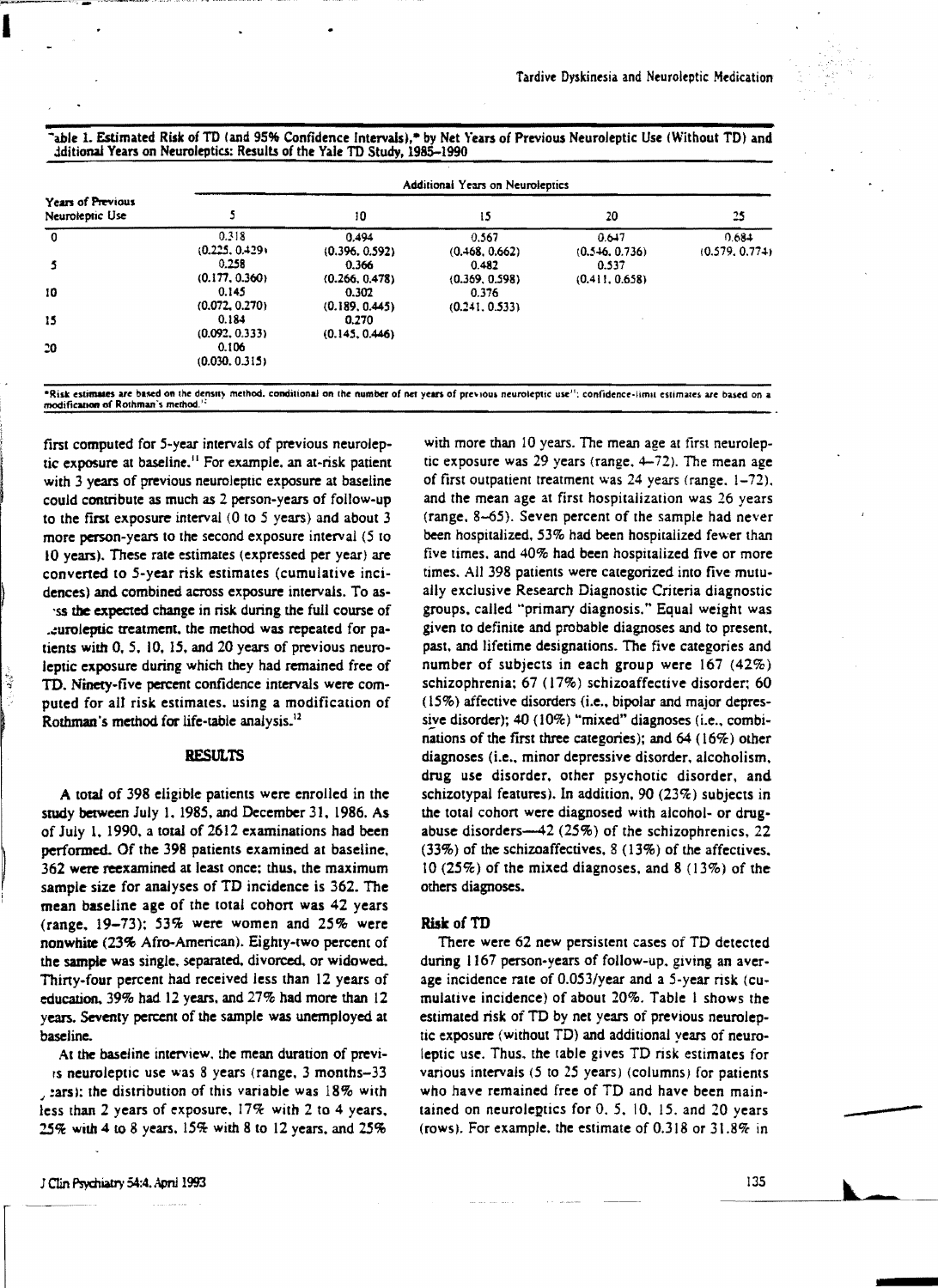|  |  |                                                                          |  | 'able 1. Estimated Risk of TD (and 95% Confidence Intervals),* by Net Years of Previous Neuroleptic Use (Without TD) and |  |  |
|--|--|--------------------------------------------------------------------------|--|--------------------------------------------------------------------------------------------------------------------------|--|--|
|  |  | dditional Years on Neuroleptics: Results of the Yale TD Study, 1985–1990 |  |                                                                                                                          |  |  |

|                                      | Additional Years on Neuroleptics |                         |                         |                         |                         |  |  |  |  |  |
|--------------------------------------|----------------------------------|-------------------------|-------------------------|-------------------------|-------------------------|--|--|--|--|--|
| Years of Previous<br>Neuroleptic Use |                                  | 10                      | 15                      | 20                      | 25                      |  |  |  |  |  |
| $\mathbf 0$                          | 0.318<br>(0.225, 0.429)          | 0.494<br>(0.396, 0.592) | 0.567<br>(0.468, 0.662) | 0.647<br>(0.546, 0.736) | 0.684<br>(0.579, 0.774) |  |  |  |  |  |
| 5                                    | 0.258<br>(0.177, 0.360)          | 0.366<br>(0.266, 0.478) | 0.482<br>(0.369, 0.598) | 0.537<br>(0.411, 0.658) |                         |  |  |  |  |  |
| 10                                   | 0.145<br>(0.072, 0.270)          | 0.302<br>(0.189, 0.445) | 0.376<br>(0.241, 0.533) |                         |                         |  |  |  |  |  |
| 15                                   | 0.184<br>(0.092, 0.333)          | 0.270<br>(0.145, 0.446) |                         |                         |                         |  |  |  |  |  |
| 20                                   | 0.106<br>(0.030, 0.315)          |                         |                         |                         |                         |  |  |  |  |  |

modification of Rothman's method.<sup>12</sup>

first computed for 5-year intervals of previous neuroleptic exposure at baseline.<sup>11</sup> For example, an at-risk patient with 3 years of previous neuroleptic exposure at baseline could contribute as much as 2 person-years of follow-up to the first exposure interval (0 to 5 years) and about 3 more person-years to the second exposure interval (5 to 10 years). These rate estimates (expressed per year) are converted to 5-year risk estimates (cumulative incidences) and combined across exposure intervals. To as-

'ss the expected change in risk during the full course of .curoleptic treatment, the method was repeated for patients with 0, 5, 10, 15, and 20 years of previous neuroleptic exposure during which they had remained free of TD. Ninety-five percent confidence intervals were computed for all risk estimates, using a modification of Rothman's method for life-table analysis.<sup>12</sup>

# **RESULTS**

A total of 398 eligible patients were enrolled in the study between July 1, 1985, and December 31, 1986. As of July 1, 1990, a total of 2612 examinations had been performed. Of the 398 patients examined at baseline, 362 were reexamined at least once; thus, the maximum sample size for analyses of TD incidence is 362. The mean baseline age of the total cohort was 42 years (range,  $19-73$ ); 53% were women and 25% were nonwhite (23% Afro-American). Eighty-two percent of the sample was single, separated, divorced, or widowed, Thirty-four percent had received less than 12 years of education, 39% had 12 years, and 27% had more than 12 years. Seventy percent of the sample was unemployed at baseline.

At the baseline interview, the mean duration of previis neuroleptic use was 8 years (range, 3 months-33 , zars); the distribution of this variable was 18% with less than 2 years of exposure,  $17\%$  with 2 to 4 years, 25% with 4 to 8 years, 15% with 8 to 12 years, and 25%

with more than 10 years. The mean age at first neuroleptic exposure was 29 years (range, 4-72). The mean age of first outpatient treatment was 24 years (range, 1-72), and the mean age at first hospitalization was 26 years (range, 8-65). Seven percent of the sample had never been hospitalized, 53% had been hospitalized fewer than five times, and 40% had been hospitalized five or more times. All 398 patients were categorized into five mutually exclusive Research Diagnostic Criteria diagnostic groups, called "primary diagnosis." Equal weight was given to definite and probable diagnoses and to present, past, and lifetime designations. The five categories and number of subjects in each group were 167 (42%) schizophrenia; 67 (17%) schizoaffective disorder; 60 (15%) affective disorders (i.e., bipolar and major depressive disorder); 40 (10%) "mixed" diagnoses (i.e., combinations of the first three categories); and  $64$  (16%) other diagnoses (i.e., minor depressive disorder, alcoholism, drug use disorder, other psychotic disorder, and schizotypal features). In addition, 90  $(23\%)$  subjects in the total cohort were diagnosed with alcohol- or drugabuse disorders—42 (25%) of the schizophrenics, 22 (33%) of the schizoaffectives, 8 (13%) of the affectives,  $10(25\%)$  of the mixed diagnoses, and 8 (13%) of the others diagnoses.

#### Risk of TD

There were 62 new persistent cases of TD detected during 1167 person-years of follow-up, giving an average incidence rate of 0.053/year and a 5-year risk (cumulative incidence) of about 20%. Table 1 shows the estimated risk of TD by net years of previous neuroleptic exposure (without TD) and additional years of neuroleptic use. Thus, the table gives TD risk estimates for various intervals (5 to 25 years) (columns) for patients who have remained free of TD and have been maintained on neuroleptics for  $0, 5, 10, 15$ . and 20 years (rows). For example, the estimate of  $0.318$  or  $31.8\%$  in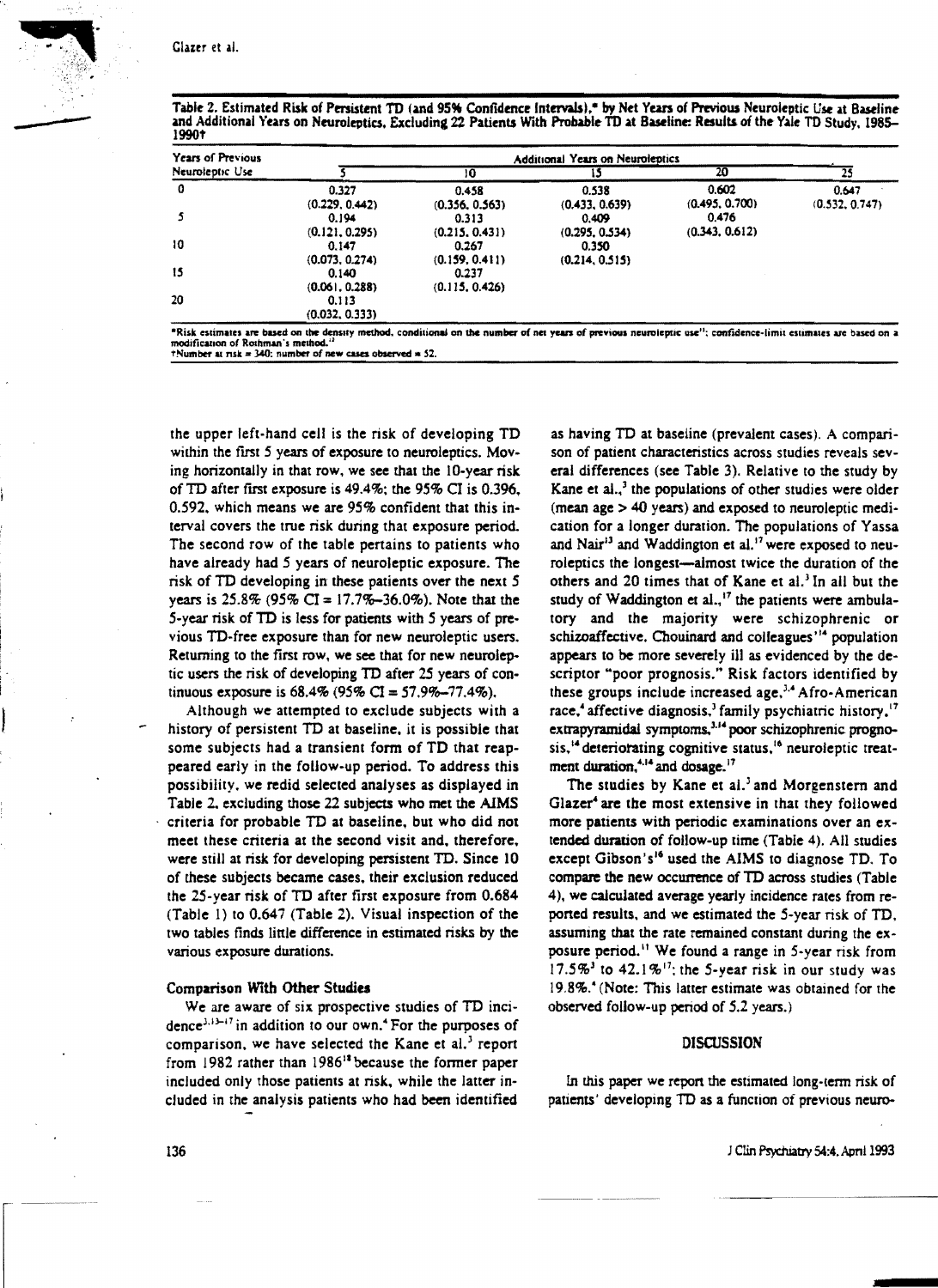|       |  |  |  | Table 2. Estimated Risk of Persistent TD (and 95% Confidence Intervals),* by Net Years of Previous Neuroleptic Use at Baseline |  |
|-------|--|--|--|--------------------------------------------------------------------------------------------------------------------------------|--|
|       |  |  |  | and Additional Years on Neuroleptics, Excluding 22 Patients With Probable TD at Baseline: Results of the Yale TD Study, 1985–  |  |
| 1990† |  |  |  |                                                                                                                                |  |

| Years of Previous | Additional Years on Neuroleptics          |                         |                         |                         |                         |  |  |  |  |
|-------------------|-------------------------------------------|-------------------------|-------------------------|-------------------------|-------------------------|--|--|--|--|
| Neuroleptic Use   |                                           | 10                      | 15                      | 20                      | 25                      |  |  |  |  |
| 0                 | 0.327<br>(0.229, 0.442)                   | 0.458<br>(0.356, 0.563) | 0.538<br>(0.433, 0.639) | 0.602<br>(0.495, 0.700) | 0.647<br>(0.532, 0.747) |  |  |  |  |
|                   | 0.194<br>(0.121, 0.295)                   | 0.313                   | 0.409                   | 0.476<br>(0.343, 0.612) |                         |  |  |  |  |
| 10                | 0.147                                     | (0.215, 0.431)<br>0.267 | (0.295, 0.534)<br>0.350 |                         |                         |  |  |  |  |
| 15                | (0.073, 0.274)<br>0.140                   | (0.159, 0.411)<br>0.237 | (0.214, 0.515)          |                         |                         |  |  |  |  |
| 20                | (0.061, 0.288)<br>0.113<br>(0.032, 0.333) | (0.115, 0.426)          |                         |                         |                         |  |  |  |  |

modification of Rothman's method.<sup>1</sup>  $+$ Number at risk = 340; number of new cases observed = 52.

the upper left-hand cell is the risk of developing TD within the first 5 years of exposure to neuroleptics. Moving horizontally in that row, we see that the 10-year risk of TD after first exposure is 49.4%; the 95% CI is 0.396. 0.592, which means we are 95% confident that this interval covers the true risk during that exposure period. The second row of the table pertains to patients who have already had 5 years of neuroleptic exposure. The risk of TD developing in these patients over the next 5 vears is  $25.8\%$  (95% CI = 17.7%-36.0%). Note that the 5-year risk of TD is less for patients with 5 years of previous TD-free exposure than for new neuroleptic users. Returning to the first row, we see that for new neuroleptic users the risk of developing TD after 25 years of continuous exposure is 68.4% (95% CI = 57.9%-77.4%).

Although we attempted to exclude subjects with a history of persistent TD at baseline, it is possible that some subjects had a transient form of TD that reappeared early in the follow-up period. To address this possibility, we redid selected analyses as displayed in Table 2, excluding those 22 subjects who met the AIMS criteria for probable TD at baseline, but who did not meet these criteria at the second visit and, therefore, were still at risk for developing persistent TD. Since 10 of these subjects became cases, their exclusion reduced the 25-year risk of TD after first exposure from 0.684 (Table 1) to 0.647 (Table 2). Visual inspection of the two tables finds little difference in estimated risks by the various exposure durations.

# Comparison With Other Studies

We are aware of six prospective studies of TD incidence<sup>3,13-17</sup> in addition to our own.<sup>4</sup> For the purposes of comparison, we have selected the Kane et al.<sup>3</sup> report from 1982 rather than 1986<sup>18</sup> because the former paper included only those patients at risk, while the latter included in the analysis patients who had been identified

as having TD at baseline (prevalent cases). A comparison of patient characteristics across studies reveals several differences (see Table 3). Relative to the study by Kane et al.,<sup>3</sup> the populations of other studies were older (mean age > 40 years) and exposed to neuroleptic medication for a longer duration. The populations of Yassa and Nair<sup>13</sup> and Waddington et al.<sup>17</sup> were exposed to neuroleptics the longest-almost twice the duration of the others and 20 times that of Kane et al.<sup>3</sup> In all but the study of Waddington et al.,<sup>17</sup> the patients were ambulatory and the majority were schizophrenic or schizoaffective. Chouinard and colleagues'<sup>14</sup> population appears to be more severely ill as evidenced by the descriptor "poor prognosis." Risk factors identified by these groups include increased age,<sup>3,4</sup> Afro-American race,<sup>4</sup> affective diagnosis,<sup>3</sup> family psychiatric history, $17$ extrapyramidal symptoms,<sup>3,14</sup> poor schizophrenic prognosis,<sup>14</sup> deteriorating cognitive status,<sup>16</sup> neuroleptic treatment duration,<sup>4,14</sup> and dosage.<sup>17</sup>

The studies by Kane et al.<sup>3</sup> and Morgenstern and Glazer<sup>4</sup> are the most extensive in that they followed more patients with periodic examinations over an extended duration of follow-up time (Table 4). All studies except Gibson's<sup>16</sup> used the AIMS to diagnose TD. To compare the new occurrence of TD across studies (Table 4), we calculated average yearly incidence rates from reported results, and we estimated the 5-year risk of TD, assuming that the rate remained constant during the exposure period.<sup>11</sup> We found a range in 5-year risk from 17.5%<sup>3</sup> to 42.1%<sup>17</sup>; the 5-year risk in our study was 19.8%.<sup>4</sup> (Note: This latter estimate was obtained for the observed follow-up period of 5.2 years.)

# **DISCUSSION**

In this paper we report the estimated long-term risk of patients' developing TD as a function of previous neuro-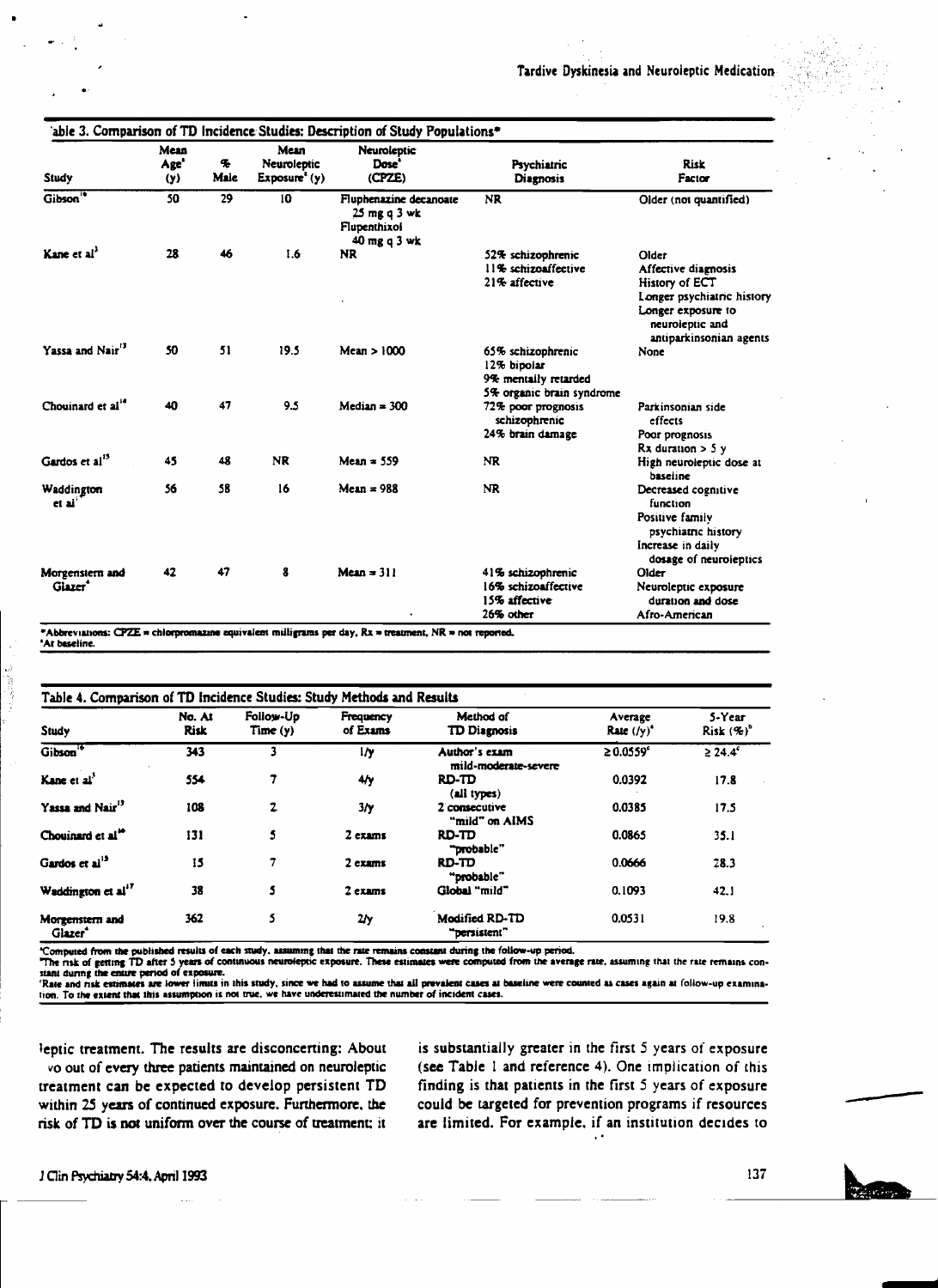| Study                                  | Mean<br>Age <sup>+</sup><br>(y) | q,<br>Maie | Mean<br>Neuroleptic<br>$Exposure'$ (y) | Neuroleptic<br>Dose'<br>(CPZE)                                         | Psychiatric<br><b>Diagnosis</b>                                                       | Risk<br>Factor                                                                                                                                   |
|----------------------------------------|---------------------------------|------------|----------------------------------------|------------------------------------------------------------------------|---------------------------------------------------------------------------------------|--------------------------------------------------------------------------------------------------------------------------------------------------|
| Gibson <sup>16</sup>                   | 50                              | 29         | 10                                     | Fluphenazine decanoate<br>25 mg q 3 wk<br>Flupenthixol<br>40 mg q 3 wk | <b>NR</b>                                                                             | Older (not quantified)                                                                                                                           |
| Kane et al <sup>3</sup>                | 28                              | 46         | 1.6 <sub>2</sub>                       | NR.                                                                    | 52% schizophrenic<br>11% schizoaffective<br>21% affective                             | Older<br>Affective diagnosis<br>History of ECT<br>Longer psychiatric history<br>Longer exposure to<br>neuroleptic and<br>antiparkinsonian agents |
| Yassa and Nair <sup>13</sup>           | 50                              | 51         | 19.5                                   | Mean > 1000                                                            | 65% schizophrenic<br>12% bipoiar<br>9% mentally retarded<br>5% organic brain syndrome | None                                                                                                                                             |
| Chouinard et al"                       | 40                              | 47         | 9.5                                    | Median = $300$                                                         | 72% poor prognosis<br>schizophrenic<br>24% brain damage                               | Parkinsonian side<br>effects<br>Poor prognosis<br>$Rx$ duration $>$ 5 y                                                                          |
| Gardos et al <sup>15</sup>             | 45                              | 48         | <b>NR</b>                              | $Mean = 559$                                                           | <b>NR</b>                                                                             | High neuroleptic dose at<br>baseline                                                                                                             |
| Waddington<br>et al'                   | 56                              | 58         | 16                                     | $Mean = 988$                                                           | <b>NR</b>                                                                             | Decreased cognitive<br>function<br>Positive family<br>psychiatric history<br>Increase in daily<br>dosage of neuroleptics                         |
| Morgenstern and<br>Glazer <sup>*</sup> | 42                              | 47         | 8                                      | Mean $= 311$                                                           | 41% schizophrenic<br>16% schizoaffective<br>15% affective<br>26% other                | Older<br>Neuroleptic exposure<br>duration and dose<br>Afro-American                                                                              |

\*Abbreviations: CPZE = chlorpromazine equivalent milligrams per day, Rx = treatment, NR = not reported. 'At baseline.

Table 4. Comparison of TD Incidence Studies: Study Methods and Results

| Study                                  | No. At<br><b>Risk</b> | Follow-Up<br>Time (y) | Frequency<br>of Exams | Method of<br><b>TD Diagnosis</b>      | Average<br>Rate $(\prime \gamma)^*$ | 5-Year<br>$Risk(%)^b$ |
|----------------------------------------|-----------------------|-----------------------|-----------------------|---------------------------------------|-------------------------------------|-----------------------|
| Gibson <sup>16</sup>                   | 343                   |                       | l/y                   | Author's exam<br>mild-moderate-severe | $\geq 0.0559^{\circ}$               | $\geq 24.4^c$         |
| Kane et al'                            | 554                   |                       | 4/y                   | RD-TD<br>(all types)                  | 0.0392                              | 17.8                  |
| Yassa and Nair <sup>13</sup>           | 108                   | $\mathbf{z}$          | 3/у                   | 2 consecutive<br>"mild" on AIMS       | 0.0385                              | 17.5                  |
| Chouinard et al. <sup>14</sup>         | 131                   | 5                     | 2 exams               | RD-TD<br>"probable"                   | 0.0865                              | 35.1                  |
| Gardos et al <sup>13</sup>             | 15                    | 7                     | 2 exams               | RD-TD<br>"probable"                   | 0.0666                              | 28.3                  |
| Waddington et al' <sup>7</sup>         | 38                    | 5                     | $2$ exams             | Global "mild"                         | 0.1093                              | 42.1                  |
| Morgenstern and<br>Glazer <sup>*</sup> | 362                   | 5                     | 2/y                   | <b>Modified RD-TD</b><br>"persistent" | 0.0531                              | 19.8                  |

"Computed from the published results of each study, assuming that the rate remains constant during the follow-up period. The risk of getting TD after 5 years of continuous neuroleptic exposure. These estimates were compute

stant during the entire period of exposure.<br>Tate and risk estimates are lower limits in this study, since we had to assume that all prevalent cases at baseline were counted as cases again at follow-up examina-<br>To the exten

leptic treatment. The results are disconcerting: About vo out of every three patients maintained on neuroleptic treatment can be expected to develop persistent TD within 25 years of continued exposure. Furthermore, the risk of TD is not uniform over the course of treatment; it

is substantially greater in the first 5 years of exposure (see Table 1 and reference 4). One implication of this finding is that patients in the first 5 years of exposure could be targeted for prevention programs if resources are limited. For example, if an institution decides to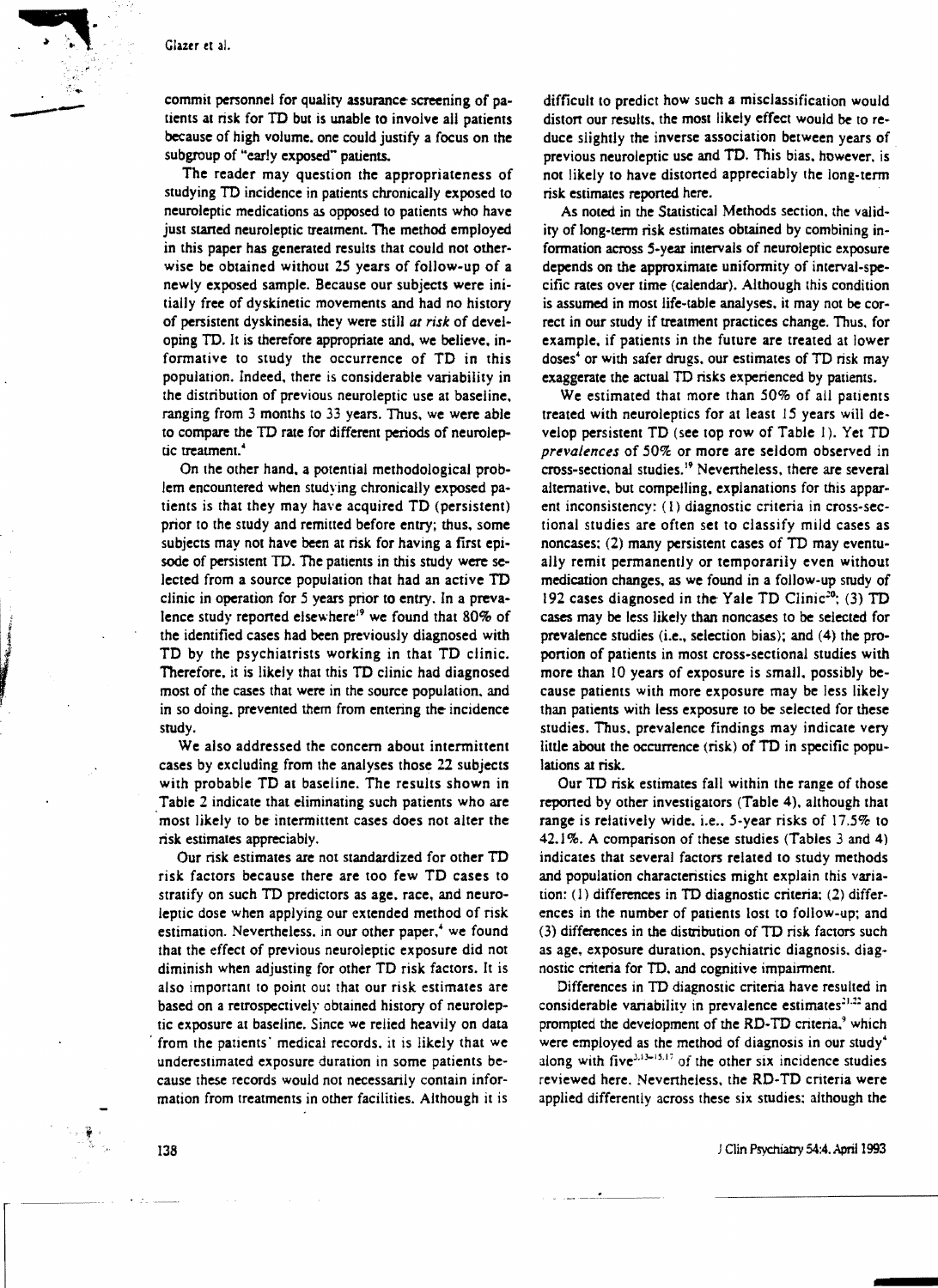commit personnel for quality assurance screening of patients at risk for TD but is unable to involve all patients because of high volume. one could justify a focus on the subgroup of "early exposed" patients.

The reader may question the appropriateness of studying TD incidence in patients chronically exposed to neuroleptic medications as opposed to patients who have just staned neuroleptic treatment. The method employed in this paper has generated results that could not otherwise be obtained without 25 years of follow-up of a newly exposed sample. Because our subjects were initially free of dyskinetic movements and had no history of persistent dyskinesia. they were still *at risk* of developing TO. It is therefore appropriate and. we believe. informative to study the occurrence of TO in this population. Indeed. there is considerable variability in the distribution of previous neuroleptic use at baseline. ranging from 3 months to 33 years. Thus. we were able to compare the TO rate for different periods of neuroleptic treatment.<sup>4</sup>

On the other hand. a potential methodological problem encountered when studying chronically exposed patients is that they may have acquired TO (persistent) prior to the study and remitted before entry; thus. some subjects may not have been at risk for having a first episode of persistent TO. The patients in this study were selected from a source population that had an active TO clinic in operation for 5 years prior to entry. In a prevalence study reported eisewhere<sup>19</sup> we found that 80% of the identified cases had been previously diagnosed with TO by the psychiatrists working in that TO clinic. Therefore. it is likely that this TO clinic had diagnosed most of the cases that were in the source population. and in so doing, prevented them from entering the incidence study.

We also addressed the concern about intermittent cases by excluding from the analyses those 22 subjects with probable TD at baseline. The results shown in Table 2 indicate that eliminating such patients who are most likely to be intermittent cases does not aiter the risk estimates appreciably.

Our risk estimates are not standardized for other TO risk factors because there are too few TO cases to stratify on such TO predictors as age. race. and neuroleptic dose when applying our extended method of risk estimation. Nevertheless, in our other paper,<sup>\*</sup> we found that the effect of previous neuroleptic exposure did not diminish when adjusting for other TO risk factors. It is also important to point out that our risk estimates are based on a retrospectively obtained history of neuroleptic exposure at baseline. Since we relied heavily on data from the patients' medical records, it is likely that we underestimated exposure duration in some patients because these records would not necessarily contain information from treatments in other facilities. Although it is

difficult to predict how such a misclassification would distort our results, the most likely effect would be to reduce slightly the inverse association between years of previous neuroleptic use and TO. This bias. however. is not likely to have distorted appreciably the long-term risk estimates reported here.

As noted in the Statistical Methods section. the validity of long-term risk estimates obtained by combining information across S-year intervals of neuroleptic exposure depends on the approximate uniformity of interval-specific rates over time (calendar). Although this condition is assumed in most life-table analyses. it may not be correct in our study if treatment practices change. Thus. for example. if patients in the future are treated at lower doses<sup>4</sup> or with safer drugs, our estimates of TD risk may exaggerate the actual TO risks experienced by patients.

We estimated that more than 50% of all patients treated with neuroleptics for at least 15 years will develop persistent TD (see top row of Table 1). Yet TD prevalences of 50% or more are seldom observed in cross-sectional studies.<sup>19</sup> Nevertheless, there are several alternative, but compelling. explanations for this apparent inconsistency: (1) diagnostic criteria in cross-sectional studies are often set to classify mild cases as noncases: (2) many persistent cases of TO may eventually remit permanently or temporarily even without medication changes, as we found in a follow-up study of 192 cases diagnosed in the Yale TD Clinic<sup>20</sup>; (3) TD cases may be less likely than noncases 10 be selected for prevalence studies (i.e., selection bias); and (4) the proportion of patients in most cross-sectional studies with more than 10 years of exposure is small, possibly because patients with more exposure may be less likely than patients with less exposure to be selected for these studies. Thus. prevalence findings may indicate very little about the occurrence (risk) of TO in specific populations at risk.

Our TO risk estimates fall within the range of those reported by other investigators (Table 4). although that range is relatively wide. i.e., 5-year risks of 17.5% to 42.1 %. A comparison of these studies (Tables 3 and 4) indicates that several factors related to study methods and population characteristics might explain this variation: (I) differences in TO diagnostic criteria: (2) differences in the number of patients lost to follow-up; and (3) differences in the distribution of TO risk factors such as age. exposure duration. psychiatric diagnosis. diagnostic criteria for TO. and cognitive impairment.

Differences in TO diagnostic criteria have resulted in considerable variability in prevalence estimates<sup>21,22</sup> and prompted the development of the RD-TD criteria,<sup>9</sup> which were employed as the method of diagnosis in our study· along with five $3.13-15.17$  of the other six incidence studies reviewed here. Nevertheless. the RO-TO criteria were applied differently across these six studies: although the